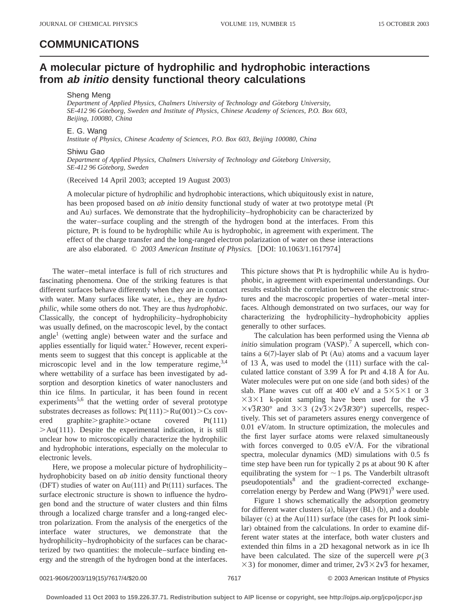## **COMMUNICATIONS**

# **A molecular picture of hydrophilic and hydrophobic interactions from ab initio density functional theory calculations**

### Sheng Meng

Department of Applied Physics, Chalmers University of Technology and Göteborg University, *SE-412 96 Göteborg, Sweden and Institute of Physics, Chinese Academy of Sciences, P.O. Box 603, Beijing, 100080, China*

### E. G. Wang

*Institute of Physics, Chinese Academy of Sciences, P.O. Box 603, Beijing 100080, China*

#### Shiwu Gao

Department of Applied Physics, Chalmers University of Technology and Göteborg University, *SE-412 96 Go¨teborg, Sweden*

(Received 14 April 2003; accepted 19 August 2003)

A molecular picture of hydrophilic and hydrophobic interactions, which ubiquitously exist in nature, has been proposed based on *ab initio* density functional study of water at two prototype metal (Pt and Au) surfaces. We demonstrate that the hydrophilicity–hydrophobicity can be characterized by the water–surface coupling and the strength of the hydrogen bond at the interfaces. From this picture, Pt is found to be hydrophilic while Au is hydrophobic, in agreement with experiment. The effect of the charge transfer and the long-ranged electron polarization of water on these interactions are also elaborated.  $\odot$  2003 American Institute of Physics. [DOI: 10.1063/1.1617974]

The water–metal interface is full of rich structures and fascinating phenomena. One of the striking features is that different surfaces behave differently when they are in contact with water. Many surfaces like water, i.e., they are *hydrophilic*, while some others do not. They are thus *hydrophobic*. Classically, the concept of hydrophilicity–hydrophobicity was usually defined, on the macroscopic level, by the contact angle<sup>1</sup> (wetting angle) between water and the surface and applies essentially for liquid water. $<sup>2</sup>$  However, recent experi-</sup> ments seem to suggest that this concept is applicable at the microscopic level and in the low temperature regime,  $3,4$ where wettability of a surface has been investigated by adsorption and desorption kinetics of water nanoclusters and thin ice films. In particular, it has been found in recent experiments<sup>5,6</sup> that the wetting order of several prototype substrates decreases as follows:  $Pt(111) > Ru(001) > Cs$  covered graphite $\geq$ graphite $\geq$ octane covered Pt(111)  $>$ Au(111). Despite the experimental indication, it is still unclear how to microscopically characterize the hydrophilic and hydrophobic interations, especially on the molecular to electronic levels.

Here, we propose a molecular picture of hydrophilicityhydrophobicity based on *ab initio* density functional theory  $(DFT)$  studies of water on Au $(111)$  and Pt $(111)$  surfaces. The surface electronic structure is shown to influence the hydrogen bond and the structure of water clusters and thin films through a localized charge transfer and a long-ranged electron polarization. From the analysis of the energetics of the interface water structures, we demonstrate that the hydrophilicity–hydrophobicity of the surfaces can be characterized by two quantities: the molecule–surface binding energy and the strength of the hydrogen bond at the interfaces. This picture shows that Pt is hydrophilic while Au is hydrophobic, in agreement with experimental understandings. Our results establish the correlation between the electronic structures and the macroscopic properties of water–metal interfaces. Although demonstrated on two surfaces, our way for characterizing the hydrophilicity–hydrophobicity applies generally to other surfaces.

The calculation has been performed using the Vienna *ab initio* simulation program  $(VASP)$ .<sup>7</sup> A supercell, which contains a  $6(7)$ -layer slab of Pt  $(Au)$  atoms and a vacuum layer of 13 Å, was used to model the  $(111)$  surface with the calculated lattice constant of 3.99 Å for Pt and 4.18 Å for Au. Water molecules were put on one side (and both sides) of the slab. Plane waves cut off at 400 eV and a  $5 \times 5 \times 1$  or 3  $\times$ 3 $\times$ 1 k-point sampling have been used for the  $\sqrt{3}$  $\times\sqrt{3}R30^{\circ}$  and  $3\times3$  ( $2\sqrt{3}\times2\sqrt{3}R30^{\circ}$ ) supercells, respectively. This set of parameters assures energy convergence of 0.01 eV/atom. In structure optimization, the molecules and the first layer surface atoms were relaxed simultaneously with forces converged to 0.05 eV/Å. For the vibrational spectra, molecular dynamics  $(MD)$  simulations with 0.5 fs time step have been run for typically 2 ps at about 90 K after equilibrating the system for  $\sim$  1 ps. The Vanderbilt ultrasoft pseudopotentials<sup>8</sup> and the gradient-corrected exchangecorrelation energy by Perdew and Wang  $(PW91)^9$  were used.

Figure 1 shows schematically the adsorption geometry for different water clusters  $(a)$ , bilayer  $(BL)$   $(b)$ , and a double bilayer  $(c)$  at the Au $(111)$  surface (the cases for Pt look similar) obtained from the calculations. In order to examine different water states at the interface, both water clusters and extended thin films in a 2D hexagonal network as in ice Ih have been calculated. The size of the supercell were  $p(3)$  $\times$ 3) for monomer, dimer and trimer,  $2\sqrt{3}\times2\sqrt{3}$  for hexamer,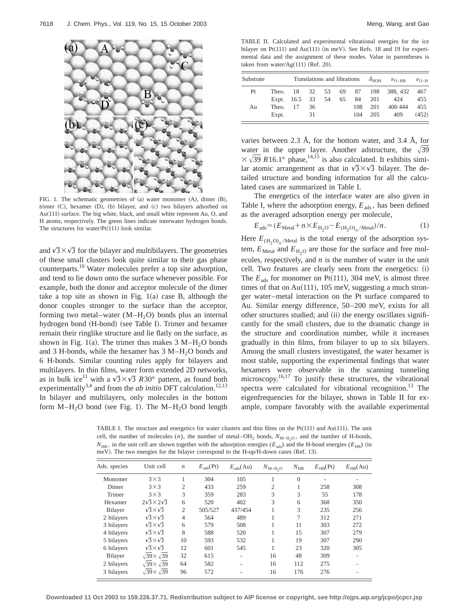

FIG. 1. The schematic geometries of  $(a)$  water monomer  $(A)$ , dimer  $(B)$ , trimer  $(C)$ , hexamer  $(D)$ ,  $(b)$  bilayer, and  $(c)$  two bilayers adsorbed on Au(111) surface. The big white, black, and small white represent Au, O, and H atoms, respectively. The green lines indicate interwater hydrogen bonds. The structures for water/ $Pt(111)$  look similar.

and  $\sqrt{3} \times \sqrt{3}$  for the bilayer and multibilayers. The geometries of these small clusters look quite similar to their gas phase counterparts.10 Water molecules prefer a top site adsorption, and tend to lie down onto the surface whenever possible. For example, both the donor and acceptor molecule of the dimer take a top site as shown in Fig.  $1(a)$  case B, although the donor couples stronger to the surface than the acceptor, forming two metal–water  $(M-H<sub>2</sub>O)$  bonds plus an internal hydrogen bond (H-bond) (see Table I). Trimer and hexamer remain their ringlike structure and lie flatly on the surface, as shown in Fig. 1(a). The trimer thus makes  $3 M-H<sub>2</sub>O$  bonds and 3 H-bonds, while the hexamer has  $3 M-H<sub>2</sub>O$  bonds and 6 H-bonds. Similar counting rules apply for bilayers and multilayers. In thin films, water form extended 2D networks, as in bulk ice<sup>11</sup> with a  $\sqrt{3} \times \sqrt{3}$  R30° pattern, as found both experimentally<sup>3,4</sup> and from the *ab initio* DFT calculation.<sup>12,13</sup> In bilayer and multilayers, only molecules in the bottom form  $M-H_2O$  bond (see Fig. 1). The  $M-H_2O$  bond length

TABLE II. Calculated and experimental vibrational energies for the ice bilayer on Pt $(111)$  and Au $(111)$  (in meV). See Refs. 18 and 19 for experimental data and the assignment of these modes. Value in parentheses is taken from water/ $Ag(111)$  (Ref. 20).

| Substrate | Translations and librations $\delta_{\text{HOH}}$ $\nu_{\text{O-HB}}$ |                           |                |          |    |            |                                   | $v_{\Omega-H}$                     |                            |
|-----------|-----------------------------------------------------------------------|---------------------------|----------------|----------|----|------------|-----------------------------------|------------------------------------|----------------------------|
| Pt<br>Au  | Theo.<br>Theo.<br>Expt.                                               | 18<br>Expt. 16.5 33<br>17 | 32<br>36<br>31 | 53<br>54 | 65 | 108<br>104 | 69 87 198<br>84 201<br>201<br>205 | 388, 432<br>-424<br>400 444<br>409 | 467<br>455<br>455<br>(452) |

varies between 2.3 Å, for the bottom water, and 3.4 Å, for water in the upper layer. Another adstructure, the  $\sqrt{39}$  $\times \sqrt{39}$  *R*16.1° phase,<sup>14,15</sup> is also calculated. It exhibits similar atomic arrangement as that in  $\sqrt{3} \times \sqrt{3}$  bilayer. The detailed structure and bonding information for all the calculated cases are summarized in Table I.

The energetics of the interface water are also given in Table I, where the adsorption energy,  $E_{ads}$ , has been defined as the averaged adsorption energy per molecule,

$$
E_{\text{ads}} = (E_{\text{Meta}} + n \times E_{\text{H}_2\text{O}} - E_{\text{(H}_2\text{O})_n/\text{Meta}})/n. \tag{1}
$$

Here  $E_{(H_2O)_n$  /Metal is the total energy of the adsorption system,  $E_{\text{Meta}}$  and  $E_{\text{H}_2O}$  are those for the surface and free molecules, respectively, and *n* is the number of water in the unit cell. Two features are clearly seen from the energetics: (i) The  $E_{ads}$  for monomer on Pt(111), 304 meV, is almost three times of that on Au $(111)$ , 105 meV, suggesting a much stronger water–metal interaction on the Pt surface compared to Au. Similar energy difference, 50–200 meV, exists for all other structures studied; and (ii) the energy oscillates significantly for the small clusters, due to the dramatic change in the structure and coordination number, while it increases gradually in thin films, from bilayer to up to six bilayers. Among the small clusters investigated, the water hexamer is most stable, supporting the experimental findings that water hexamers were observable in the scanning tunneling microscopy.<sup>16,17</sup> To justify these structures, the vibrational spectra were calculated for vibrational recognition.<sup>13</sup> The eigenfrequencies for the bilayer, shown in Table II for example, compare favorably with the available experimental

TABLE I. The structure and energetics for water clusters and thin films on the Pt $(111)$  and Au $(111)$ . The unit cell, the number of molecules  $(n)$ , the number of metal–OH<sub>2</sub> bonds,  $N_{M-H_2O}$ , and the number of H-bonds,  $N_{\text{HR}}$ , in the unit cell are shown together with the adsorption energies ( $E_{\text{ads}}$ ) and the H-bond energies ( $E_{\text{HR}}$ ) (in meV). The two energies for the bilayer correspond to the H-up/H-down cases (Ref. 13).

| Ads. species | Unit cell                    | $\boldsymbol{n}$ | $E_{\text{ads}}(\text{Pt})$ | $E_{\text{ads}}(Au)$ | $N_{\rm M-H_2O}$ | $N_{\rm HB}$ | $E_{\rm HB}(\rm Pt)$ | $E_{HB}(Au)$ |
|--------------|------------------------------|------------------|-----------------------------|----------------------|------------------|--------------|----------------------|--------------|
| Monomer      | $3\times3$                   |                  | 304                         | 105                  |                  | $\Omega$     |                      |              |
| Dimer        | $3\times3$                   | $\overline{2}$   | 433                         | 259                  | $\overline{2}$   |              | 258                  | 308          |
| Trimer       | $3\times3$                   | 3                | 359                         | 283                  | 3                | 3            | 55                   | 178          |
| Hexamer      | $2\sqrt{3}\times 2\sqrt{3}$  | 6                | 520                         | 402                  | 3                | 6            | 368                  | 350          |
| Bilayer      | $\sqrt{3} \times \sqrt{3}$   | $\overline{2}$   | 505/527                     | 437/454              | 1                | 3            | 235                  | 256          |
| 2 bilayers   | $\sqrt{3} \times \sqrt{3}$   | $\overline{4}$   | 564                         | 489                  |                  | 7            | 312                  | 271          |
| 3 bilayers   | $\sqrt{3} \times \sqrt{3}$   | 6                | 579                         | 508                  | 1                | 11           | 303                  | 272          |
| 4 bilayers   | $\sqrt{3} \times \sqrt{3}$   | 8                | 588                         | 520                  |                  | 15           | 307                  | 279          |
| 5 bilayers   | $\sqrt{3} \times \sqrt{3}$   | 10               | 593                         | 532                  |                  | 19           | 307                  | 290          |
| 6 bilayers   | $\sqrt{3} \times \sqrt{3}$   | 12               | 601                         | 545                  |                  | 23           | 320                  | 305          |
| Bilayer      | $\sqrt{39} \times \sqrt{39}$ | 32               | 615                         | ۰                    | 16               | 48           | 309                  |              |
| 2 bilayers   | $\sqrt{39} \times \sqrt{39}$ | 64               | 582                         | ۰                    | 16               | 112          | 275                  |              |
| 3 bilayers   | $\sqrt{39} \times \sqrt{39}$ | 96               | 572                         |                      | 16               | 176          | 276                  |              |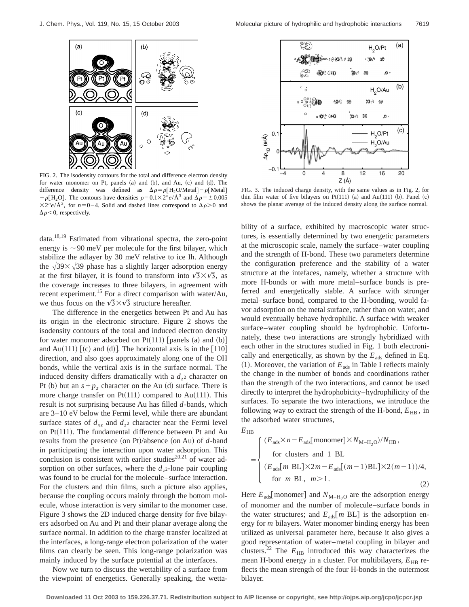

FIG. 2. The isodensity contours for the total and difference electron density for water monomer on Pt, panels (a) and (b), and Au, (c) and (d). The difference density was defined as  $\Delta \rho = \rho [H_2O/Metal] - \rho [Metal]$  $-\rho[H_2O]$ . The contours have densities  $\rho=0.1\times2^n e/\text{\AA}^3$  and  $\Delta\rho=\pm0.005$  $\times 2^{n}e/\AA^{3}$ , for  $n=0-4$ . Solid and dashed lines correspond to  $\Delta \rho > 0$  and  $\Delta \rho$  < 0, respectively.

data.18,19 Estimated from vibrational spectra, the zero-point energy is  $\sim$ 90 meV per molecule for the first bilayer, which stabilize the adlayer by 30 meV relative to ice Ih. Although the  $\sqrt{39} \times \sqrt{39}$  phase has a slightly larger adsorption energy at the first bilayer, it is found to transform into  $\sqrt{3} \times \sqrt{3}$ , as the coverage increases to three bilayers, in agreement with recent experiment.<sup>15</sup> For a direct comparison with water/Au, we thus focus on the  $\sqrt{3} \times \sqrt{3}$  structure hereafter.

The difference in the energetics between Pt and Au has its origin in the electronic structure. Figure 2 shows the isodensity contours of the total and induced electron density for water monomer adsorbed on  $Pt(111)$  [panels (a) and (b)] and Au $(111)$  [(c) and (d)]. The horizontal axis is in the [110] direction, and also goes approximately along one of the OH bonds, while the vertical axis is in the surface normal. The induced density differs dramatically with a  $d_{z^2}$  character on Pt (b) but an  $s+p_z$  character on the Au (d) surface. There is more charge transfer on Pt $(111)$  compared to Au $(111)$ . This result is not surprising because Au has filled *d*-bands, which are 3–10 eV below the Fermi level, while there are abundant surface states of  $d_{xz}$  and  $d_{z}$ <sup>2</sup> character near the Fermi level on  $Pt(111)$ . The fundamental difference between Pt and Au results from the presence (on Pt)/absence (on Au) of  $d$ -band in participating the interaction upon water adsorption. This conclusion is consistent with earlier studies<sup>20,21</sup> of water adsorption on other surfaces, where the  $d_{z}$ <sup>2</sup>-lone pair coupling was found to be crucial for the molecule–surface interaction. For the clusters and thin films, such a picture also applies, because the coupling occurs mainly through the bottom molecule, whose interaction is very similar to the monomer case. Figure 3 shows the 2D induced charge density for five bilayers adsorbed on Au and Pt and their planar average along the surface normal. In addition to the charge transfer localized at the interfaces, a long-range electron polarization of the water films can clearly be seen. This long-range polarization was mainly induced by the surface potential at the interfaces.

Now we turn to discuss the wettability of a surface from the viewpoint of energetics. Generally speaking, the wetta-



FIG. 3. The induced charge density, with the same values as in Fig. 2, for thin film water of five bilayers on Pt $(111)$  (a) and Au $(111)$  (b). Panel  $(c)$ shows the planar average of the induced density along the surface normal.

bility of a surface, exhibited by macroscopic water structures, is essentially determined by two energetic parameters at the microscopic scale, namely the surface–water coupling and the strength of H-bond. These two parameters determine the configuration preference and the stability of a water structure at the intefaces, namely, whether a structure with more H-bonds or with more metal–surface bonds is preferred and energetically stable. A surface with stronger metal–surface bond, compared to the H-bonding, would favor adsorption on the metal surface, rather than on water, and would eventually behave hydrophilic. A surface with weaker surface–water coupling should be hydrophobic. Unfortunately, these two interactions are strongly hybridized with each other in the structures studied in Fig. 1 both electronically and energetically, as shown by the  $E_{ads}$  defined in Eq.  $(1)$ . Moreover, the variation of  $E_{ads}$  in Table I reflects mainly the change in the number of bonds and coordinations rather than the strength of the two interactions, and cannot be used directly to interpret the hydrophobicity–hydrophilicity of the surfaces. To separate the two interactions, we introduce the following way to extract the strength of the H-bond,  $E_{HB}$ , in the adsorbed water structures,

 $E_{\rm HB}$ 

$$
= \begin{cases} (E_{ads} \times n - E_{ads}[\text{monomer}] \times N_{\text{M-H}_2\text{O}})/N_{\text{HB}}, \\ \text{for clusters and 1 BL} \\ (E_{ads}[\text{m BL}] \times 2\text{m} - E_{ads}[(\text{m} - 1)\text{BL}] \times 2(\text{m} - 1))/4, \\ \text{for m BL, } m > 1. \end{cases}
$$
(2)

Here  $E_{\text{ads}}$  monomer] and  $N_{\text{M-H}_2\text{O}}$  are the adsorption energy of monomer and the number of molecule–surface bonds in the water structures; and  $E_{ads}[m \, BL]$  is the adsorption energy for *m* bilayers. Water monomer binding energy has been utilized as universal parameter here, because it also gives a good representation of water–metal coupling in bilayer and clusters.<sup>22</sup> The  $E_{\rm HB}$  introduced this way characterizes the mean H-bond energy in a cluster. For multibilayers,  $E_{HB}$  reflects the mean strength of the four H-bonds in the outermost bilayer.